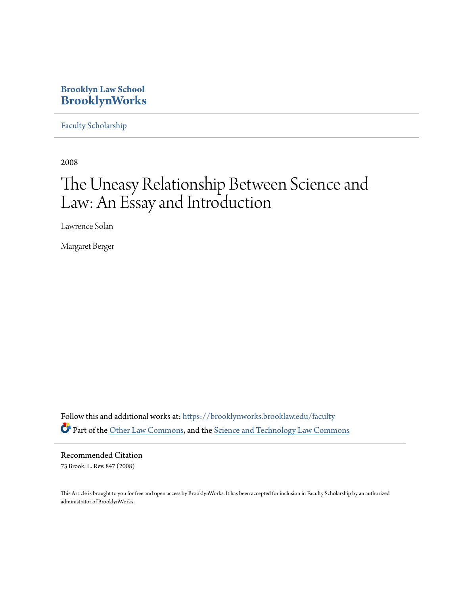### **Brooklyn Law School [BrooklynWorks](https://brooklynworks.brooklaw.edu?utm_source=brooklynworks.brooklaw.edu%2Ffaculty%2F277&utm_medium=PDF&utm_campaign=PDFCoverPages)**

[Faculty Scholarship](https://brooklynworks.brooklaw.edu/faculty?utm_source=brooklynworks.brooklaw.edu%2Ffaculty%2F277&utm_medium=PDF&utm_campaign=PDFCoverPages)

2008

# The Uneasy Relationship Between Science and Law: An Essay and Introduction

Lawrence Solan

Margaret Berger

Follow this and additional works at: [https://brooklynworks.brooklaw.edu/faculty](https://brooklynworks.brooklaw.edu/faculty?utm_source=brooklynworks.brooklaw.edu%2Ffaculty%2F277&utm_medium=PDF&utm_campaign=PDFCoverPages) Part of the [Other Law Commons](http://network.bepress.com/hgg/discipline/621?utm_source=brooklynworks.brooklaw.edu%2Ffaculty%2F277&utm_medium=PDF&utm_campaign=PDFCoverPages), and the [Science and Technology Law Commons](http://network.bepress.com/hgg/discipline/875?utm_source=brooklynworks.brooklaw.edu%2Ffaculty%2F277&utm_medium=PDF&utm_campaign=PDFCoverPages)

Recommended Citation 73 Brook. L. Rev. 847 (2008)

This Article is brought to you for free and open access by BrooklynWorks. It has been accepted for inclusion in Faculty Scholarship by an authorized administrator of BrooklynWorks.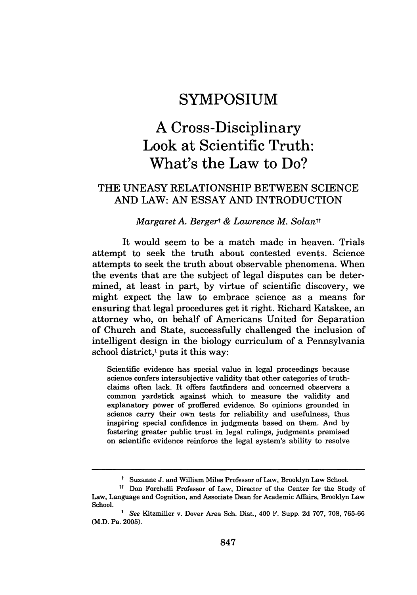### **SYMPOSIUM**

## **A Cross-Disciplinary Look at Scientific Truth: What's the Law to Do?**

### THE UNEASY RELATIONSHIP BETWEEN SCIENCE AND LAW: AN ESSAY AND INTRODUCTION

#### *Margaret A. Bergert & Lawrence M. Solant\**

It would seem to be a match made in heaven. Trials attempt to seek the truth about contested events. Science attempts to seek the truth about observable phenomena. When the events that are the subject of legal disputes can be determined, at least in part, by virtue of scientific discovery, we might expect the law to embrace science as a means for ensuring that legal procedures get it right. Richard Katskee, an attorney who, on behalf of Americans United for Separation of Church and State, successfully challenged the inclusion of intelligent design in the biology curriculum of a Pennsylvania school district,' puts it this way:

Scientific evidence has special value in legal proceedings because science confers intersubjective validity that other categories of truthclaims often lack. It offers factfinders and concerned observers a common yardstick against which to measure the validity and explanatory power of proffered evidence. So opinions grounded in science carry their own tests for reliability and usefulness, thus inspiring special confidence in judgments based on them. And by fostering greater public trust in legal rulings, judgments premised on scientific evidence reinforce the legal system's ability to resolve

t Suzanne J. and William Miles Professor of Law, Brooklyn Law School.

<sup>&</sup>lt;sup>#</sup> Don Forchelli Professor of Law, Director of the Center for the Study of Law, Language and Cognition, and Associate Dean for Academic Affairs, Brooklyn Law School.

*<sup>1</sup>* See Kitzmiller v. Dover Area Sch. Dist., 400 F. Supp. 2d 707, 708, 765-66 (M.D. Pa. 2005).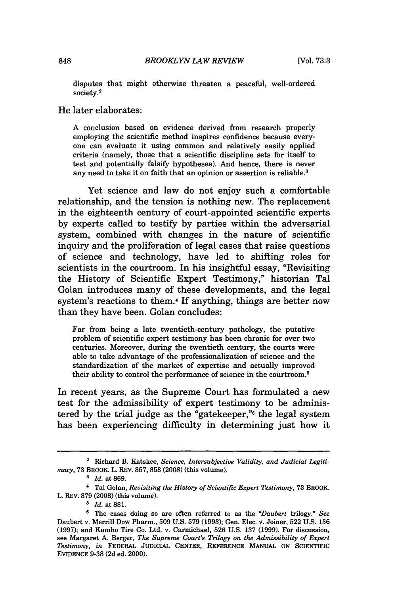disputes that might otherwise threaten a peaceful, well-ordered society. 2

#### He later elaborates:

A conclusion based on evidence derived from research properly employing the scientific method inspires confidence because everyone can evaluate it using common and relatively easily applied criteria (namely, those that a scientific discipline sets for itself to test and potentially falsify hypotheses). And hence, there is never any need to take it on faith that an opinion or assertion is reliable.<sup>3</sup>

Yet science and law do not enjoy such a comfortable relationship, and the tension is nothing new. The replacement in the eighteenth century of court-appointed scientific experts by experts called to testify by parties within the adversarial system, combined with changes in the nature of scientific inquiry and the proliferation of legal cases that raise questions of science and technology, have led to shifting roles for scientists in the courtroom. In his insightful essay, "Revisiting the History of Scientific Expert Testimony," historian Tal Golan introduces many of these developments, and the legal system's reactions to them.4 If anything, things are better now than they have been. Golan concludes:

Far from being a late twentieth-century pathology, the putative problem of scientific expert testimony has been chronic for over two centuries. Moreover, during the twentieth century, the courts were able to take advantage of the professionalization of science and the standardization of the market of expertise and actually improved their ability to control the performance of science in the courtroom.5

In recent years, as the Supreme Court has formulated a new test for the admissibility of expert testimony to be administered by the trial judge as the "gatekeeper,"6 the legal system has been experiencing difficulty in determining just how it

<sup>2</sup> Richard B. Katskee, *Science, Intersubjective Validity, and Judicial Legitimacy,* 73 BROOK. L. REV. 857,858 (2008) (this volume).

*<sup>3</sup> Id.* at 869.

**<sup>1</sup>** Tal Golan, *Revisiting the History of Scientific Expert Testimony,* 73 BROOK. L. REV. 879 (2008) (this volume).

*<sup>5</sup>Id.* at 881.

**<sup>6</sup>** The cases doing so are often referred to as the *"Daubert* trilogy." *See* Daubert v. Merrill Dow Pharm., 509 U.S. 579 (1993); Gen. Elec. v. Joiner, 522 U.S. 136 (1997); and Kumho Tire Co. Ltd. v. Carmichael, 526 U.S. 137 (1999). For discussion, see Margaret A. Berger, *The Supreme Court's Trilogy on the Admissibility of Expert Testimony, in* FEDERAL JUDICIAL CENTER, REFERENCE MANUAL ON SCIENTIFIC EVIDENCE 9-38 (2d ed. 2000).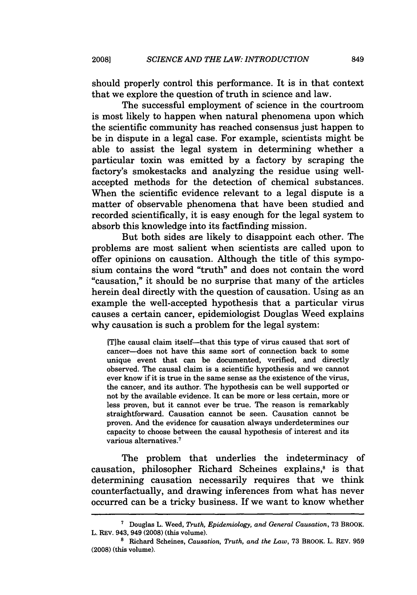should properly control this performance. It is in that context that we explore the question of truth in science and law.

The successful employment of science in the courtroom is most likely to happen when natural phenomena upon which the scientific community has reached consensus just happen to be in dispute in a legal case. For example, scientists might be able to assist the legal system in determining whether a particular toxin was emitted by a factory by scraping the factory's smokestacks and analyzing the residue using wellaccepted methods for the detection of chemical substances. When the scientific evidence relevant to a legal dispute is a matter of observable phenomena that have been studied and recorded scientifically, it is easy enough for the legal system to absorb this knowledge into its factfinding mission.

But both sides are likely to disappoint each other. The problems are most salient when scientists are called upon to offer opinions on causation. Although the title of this symposium contains the word "truth" and does not contain the word "causation," it should be no surprise that many of the articles herein deal directly with the question of causation. Using as an example the well-accepted hypothesis that a particular virus causes a certain cancer, epidemiologist Douglas Weed explains why causation is such a problem for the legal system:

[Tihe causal claim itself-that this type of virus caused that sort of cancer-does not have this same sort of connection back to some unique event that can be documented, verified, and directly observed. The causal claim is a scientific hypothesis and we cannot ever know if it is true in the same sense as the existence of the virus, the cancer, and its author. The hypothesis can be well supported or not by the available evidence. It can be more or less certain, more or less proven, but it cannot ever be true. The reason is remarkably straightforward. Causation cannot be seen. Causation cannot be proven. And the evidence for causation always underdetermines our capacity to choose between the causal hypothesis of interest and its various alternatives. <sup>7</sup>

The problem that underlies the indeterminacy of causation, philosopher Richard Scheines explains,<sup>8</sup> is that determining causation necessarily requires that we think counterfactually, and drawing inferences from what has never occurred can be a tricky business. If we want to know whether

**<sup>7</sup>**Douglas L. Weed, *Truth, Epidemiology, and General Causation,* 73 BROOK. L. REv. 943, 949 (2008) (this volume). **'** Richard Scheines, *Causation, Truth, and the Law,* 73 BROOK. L. REv. 959

<sup>(2008) (</sup>this volume).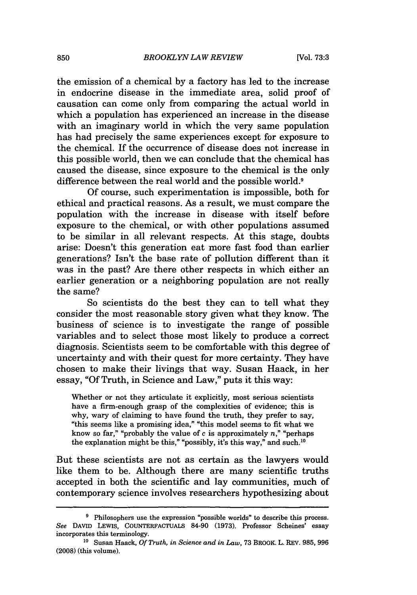the emission of a chemical by a factory has led to the increase in endocrine disease in the immediate area, solid proof of causation can come only from comparing the actual world in which a population has experienced an increase in the disease with an imaginary world in which the very same population has had precisely the same experiences except for exposure to the chemical. If the occurrence of disease does not increase in this possible world, then we can conclude that the chemical has caused the disease, since exposure to the chemical is the only difference between the real world and the possible world.9

Of course, such experimentation is impossible, both for ethical and practical reasons. As a result, we must compare the population with the increase in disease with itself before exposure to the chemical, or with other populations assumed to be similar in all relevant respects. At this stage, doubts arise: Doesn't this generation eat more fast food than earlier generations? Isn't the base rate of pollution different than it was in the past? Are there other respects in which either an earlier generation or a neighboring population are not really the same?

So scientists do the best they can to tell what they consider the most reasonable story given what they know. The business of science is to investigate the range of possible variables and to select those most likely to produce a correct diagnosis. Scientists seem to be comfortable with this degree of uncertainty and with their quest for more certainty. They have chosen to make their livings that way. Susan Haack, in her essay, "Of Truth, in Science and Law," puts it this way:

Whether or not they articulate it explicitly, most serious scientists have a firm-enough grasp of the complexities of evidence; this is why, wary of claiming to have found the truth, they prefer to say, "this seems like a promising idea," "this model seems to fit what we know so far," "probably the value of c is approximately *n,"* "perhaps the explanation might be this," "possibly, it's this way," and such. <sup>10</sup>

But these scientists are not as certain as the lawyers would like them to be. Although there are many scientific truths accepted in both the scientific and lay communities, much of contemporary science involves researchers hypothesizing about

<sup>&</sup>lt;sup>9</sup> Philosophers use the expression "possible worlds" to describe this process. *See* DAVID LEWIS, **COUNTERFACTUAIS 84-90 (1973).** Professor Scheines' essay incorporates this terminology.

<sup>10</sup> Susan Haack, *Of Truth, in Science and in Law,* **73** BROOK. L. REv. **985, 996** (2008) (this volume).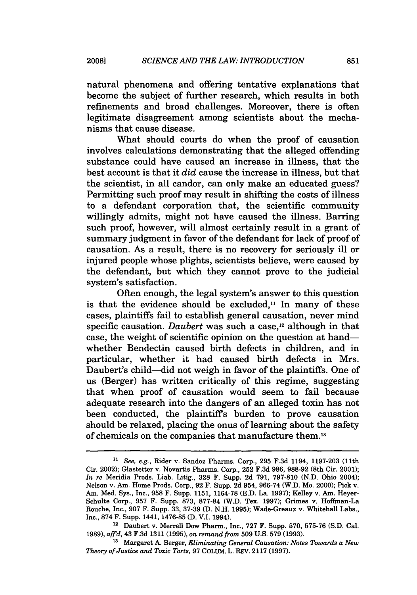**2008]**

natural phenomena and offering tentative explanations that become the subject of further research, which results in both refinements and broad challenges. Moreover, there is often legitimate disagreement among scientists about the mechanisms that cause disease.

What should courts do when the proof of causation involves calculations demonstrating that the alleged offending substance could have caused an increase in illness, that the best account is that it *did* cause the increase in illness, but that the scientist, in all candor, can only make an educated guess? Permitting such proof may result in shifting the costs of illness to a defendant corporation that, the scientific community willingly admits, might not have caused the illness. Barring such proof, however, will almost certainly result in a grant of summary judgment in favor of the defendant for lack of proof of causation. As a result, there is no recovery for seriously ill or injured people whose plights, scientists believe, were caused by the defendant, but which they cannot prove to the judicial system's satisfaction.

Often enough, the legal system's answer to this question is that the evidence should be excluded, $\mathbf{u}$  In many of these cases, plaintiffs fail to establish general causation, never mind specific causation. *Daubert* was such a case,<sup>12</sup> although in that case, the weight of scientific opinion on the question at handwhether Bendectin caused birth defects in children, and in particular, whether it had caused birth defects in Mrs. Daubert's child—did not weigh in favor of the plaintiffs. One of us (Berger) has written critically of this regime, suggesting that when proof of causation would seem to fail because adequate research into the dangers of an alleged toxin has not been conducted, the plaintiffs burden to prove causation should be relaxed, placing the onus of learning about the safety of chemicals on the companies that manufacture them.13

851

*<sup>&</sup>quot;' See, e.g.,* Rider v. Sandoz Pharms. Corp., **295 F.3d** 1194, **1197-203** (11th Cir. 2002); Glastetter v. Novartis Pharms. Corp., 252 F.3d 986, 988-92 (8th Cir. 2001); *In re* Meridia Prods. Liab. Litig., 328 F. Supp. 2d 791, 797-810 (N.D. Ohio 2004); Nelson v. Am. Home Prods. Corp., 92 F. Supp. 2d 954, 966-74 (W.D. Mo. 2000); Pick v. Am. Med. Sys., Inc., 958 F. Supp. 1151, 1164-78 (E.D. La. 1997); Kelley v. Am. Heyer-Schulte Corp., 957 F. Supp. 873, 877-84 (W.D. Tex. 1997); Grimes v. Hoffman-La Rouche, Inc., 907 F. Supp. 33, 37-39 (D. N.H. 1995); Wade-Greaux v. Whitehall Labs., Inc., 874 F. Supp. 1441, 1476-85 (D. V.I. 1994).

<sup>12</sup> Daubert v. Merrell Dow Pharm., Inc., 727 F. Supp. 570, 575-76 (S.D. Cal. 1989), *affd,* 43 F.3d 1311 (1995), on *remand from* 509 U.S. 579 (1993).

**<sup>13</sup>**Margaret A. Berger, *Eliminating General Causation: Notes Towards a New Theory of Justice and Toxic Torts,* 97 COLuM. L. REv. 2117 (1997).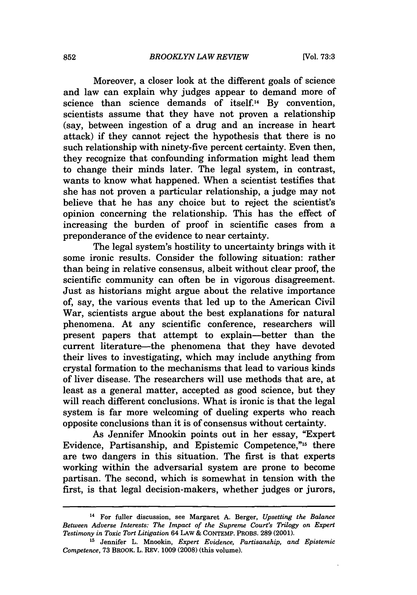Moreover, a closer look at the different goals of science and law can explain why judges appear to demand more of science than science demands of itself.<sup>14</sup> By convention, scientists assume that they have not proven a relationship (say, between ingestion of a drug and an increase in heart attack) if they cannot reject the hypothesis that there is no such relationship with ninety-five percent certainty. Even then, they recognize that confounding information might lead them to change their minds later. The legal system, in contrast, wants to know what happened. When a scientist testifies that she has not proven a particular relationship, a judge may not believe that he has any choice but to reject the scientist's opinion concerning the relationship. This has the effect of increasing the burden of proof in scientific cases from a preponderance of the evidence to near certainty.

The legal system's hostility to uncertainty brings with it some ironic results. Consider the following situation: rather than being in relative consensus, albeit without clear proof, the scientific community can often be in vigorous disagreement. Just as historians might argue about the relative importance of, say, the various events that led up to the American Civil War, scientists argue about the best explanations for natural phenomena. At any scientific conference, researchers will present papers that attempt to explain-better than the current literature-the phenomena that they have devoted their lives to investigating, which may include anything from crystal formation to the mechanisms that lead to various kinds of liver disease. The researchers will use methods that are, at least as a general matter, accepted as good science, but they will reach different conclusions. What is ironic is that the legal system is far more welcoming of dueling experts who reach opposite conclusions than it is of consensus without certainty.

As Jennifer Mnookin points out in her essay, "Expert Evidence, Partisanship, and Epistemic Competence,"15 there are two dangers in this situation. The first is that experts working within the adversarial system are prone to become partisan. The second, which is somewhat in tension with the first, is that legal decision-makers, whether judges or jurors,

**<sup>14</sup>** For fuller discussion, see Margaret A. Berger, *Upsetting the Balance Between Adverse Interests: The Impact of the Supreme Court's Trilogy on Expert Testimony in Toxic Tort Litigation* 64 LAW & CONTEMP. PROBS. 289 (2001).

**<sup>&</sup>quot;5** Jennifer L. Mnookin, *Expert Evidence, Partisanship, and Epistemic Competence,* 73 BROOK. L. REV. 1009 (2008) (this volume).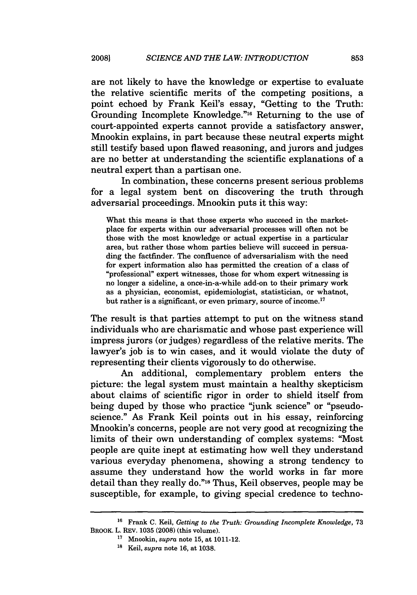are not likely to have the knowledge or expertise to evaluate the relative scientific merits of the competing positions, a point echoed by Frank Keil's essay, "Getting to the Truth: Grounding Incomplete Knowledge."16 Returning to the use of court-appointed experts cannot provide a satisfactory answer, Mnookin explains, in part because these neutral experts might still testify based upon flawed reasoning, and jurors and judges are no better at understanding the scientific explanations of a neutral expert than a partisan one.

In combination, these concerns present serious problems for a legal system bent on discovering the truth through adversarial proceedings. Mnookin puts it this way:

What this means is that those experts who succeed in the marketplace for experts within our adversarial processes will often not be those with the most knowledge or actual expertise in a particular area, but rather those whom parties believe will succeed in persuading the factfinder. The confluence of adversarialism with the need for expert information also has permitted the creation of a class of "professional" expert witnesses, those for whom expert witnessing is no longer a sideline, a once-in-a-while add-on to their primary work as a physician, economist, epidemiologist, statistician, or whatnot, but rather is a significant, or even primary, source of income.<sup>17</sup>

The result is that parties attempt to put on the witness stand individuals who are charismatic and whose past experience will impress jurors (or judges) regardless of the relative merits. The lawyer's job is to win cases, and it would violate the duty of representing their clients vigorously to do otherwise.

An additional, complementary problem enters the picture: the legal system must maintain a healthy skepticism about claims of scientific rigor in order to shield itself from being duped by those who practice "junk science" or "pseudoscience." As Frank Keil points out in his essay, reinforcing Mnookin's concerns, people are not very good at recognizing the limits of their own understanding of complex systems: "Most people are quite inept at estimating how well they understand various everyday phenomena, showing a strong tendency to assume they understand how the world works in far more detail than they really do."<sup>18</sup> Thus, Keil observes, people may be susceptible, for example, to giving special credence to techno-

**<sup>16</sup>**Frank **C.** Keil, *Getting to the Truth: Grounding Incomplete Knowledge,* **73** BROOK. L. REV. 1035 (2008) (this volume).

**<sup>17</sup>**Mnookin, *supra* note 15, at 1011-12. 18 Keil, *supra* note 16, at 1038.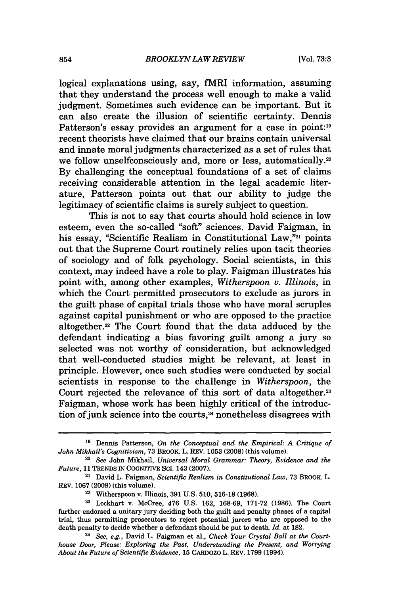logical explanations using, say, fMRI information, assuming that they understand the process well enough to make a valid judgment. Sometimes such evidence can be important. But it can also create the illusion of scientific certainty. Dennis Patterson's essay provides an argument for a case in point:<sup>19</sup> recent theorists have claimed that our brains contain universal and innate moral judgments characterized as a set of rules that we follow unselfconsciously and, more or less, automatically.<sup>20</sup> By challenging the conceptual foundations of a set of claims receiving considerable attention in the legal academic literature, Patterson points out that our ability to judge the legitimacy of scientific claims is surely subject to question.

This is not to say that courts should hold science in low esteem, even the so-called "soft" sciences. David Faigman, in his essay, "Scientific Realism in Constitutional Law,"<sup>21</sup> points out that the Supreme Court routinely relies upon tacit theories of sociology and of folk psychology. Social scientists, in this context, may indeed have a role to play. Faigman illustrates his point with, among other examples, *Witherspoon v. Illinois,* in which the Court permitted prosecutors to exclude as jurors in the guilt phase of capital trials those who have moral scruples against capital punishment or who are opposed to the practice altogether.22 The Court found that the data adduced by the defendant indicating a bias favoring guilt among a jury so selected was not worthy of consideration, but acknowledged that well-conducted studies might be relevant, at least in principle. However, once such studies were conducted by social scientists in response to the challenge in *Witherspoon,* the Court rejected the relevance of this sort of data altogether.<sup>23</sup> Faigman, whose work has been highly critical of the introduction of junk science into the courts,<sup>24</sup> nonetheless disagrees with

**<sup>19</sup>**Dennis Patterson, *On the Conceptual and the Empirical: A Critique of John Mikhail's Cognitivism,* 73 BROOK. L. REV. 1053 (2008) (this volume).

*<sup>20</sup>See* John Mikhail, *Universal Moral Grammar: Theory, Evidence and the Future,* 11 TRENDS IN COGNITIVE SCI. 143 (2007).

<sup>&</sup>lt;sup>21</sup> David L. Faigman, *Scientific Realism in Constitutional Law*, 73 BROOK. L. REV. 1067 (2008) (this volume).

<sup>22</sup> Witherspoon v. Illinois, 391 U.S. 510, 516-18 (1968).

<sup>&</sup>lt;sup>23</sup> Lockhart v. McCree, 476 U.S. 162, 168-69, 171-72 (1986). The Court further endorsed a unitary jury deciding both the guilt and penalty phases of a capital trial, thus permitting prosecutors to reject potential jurors who are opposed to the death penalty to decide whether a defendant should be put to death. *Id.* at 182.

*<sup>24</sup> See, e.g.,* David L. Faigman et al., *Check Your Crystal Ball at the Courthouse Door, Please: Exploring the Past, Understanding the Present, and Worrying About the Future of Scientific Evidence,* 15 CARDOzo L. REv. 1799 (1994).